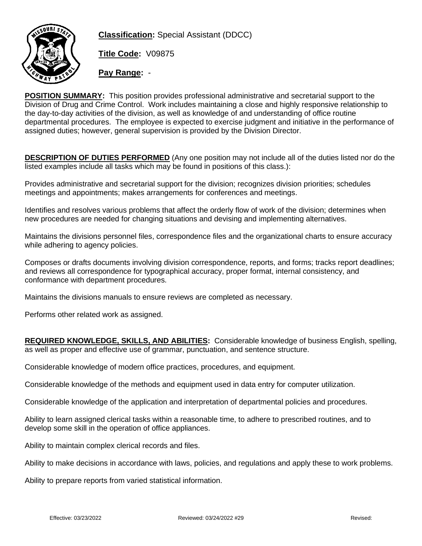

**Classification:** Special Assistant (DDCC)

**Title Code:** V09875

**Pay Range:** -

**POSITION SUMMARY:** This position provides professional administrative and secretarial support to the Division of Drug and Crime Control. Work includes maintaining a close and highly responsive relationship to the day-to-day activities of the division, as well as knowledge of and understanding of office routine departmental procedures. The employee is expected to exercise judgment and initiative in the performance of assigned duties; however, general supervision is provided by the Division Director.

**DESCRIPTION OF DUTIES PERFORMED** (Any one position may not include all of the duties listed nor do the listed examples include all tasks which may be found in positions of this class.):

Provides administrative and secretarial support for the division; recognizes division priorities; schedules meetings and appointments; makes arrangements for conferences and meetings.

Identifies and resolves various problems that affect the orderly flow of work of the division; determines when new procedures are needed for changing situations and devising and implementing alternatives.

Maintains the divisions personnel files, correspondence files and the organizational charts to ensure accuracy while adhering to agency policies.

Composes or drafts documents involving division correspondence, reports, and forms; tracks report deadlines; and reviews all correspondence for typographical accuracy, proper format, internal consistency, and conformance with department procedures.

Maintains the divisions manuals to ensure reviews are completed as necessary.

Performs other related work as assigned.

**REQUIRED KNOWLEDGE, SKILLS, AND ABILITIES:** Considerable knowledge of business English, spelling, as well as proper and effective use of grammar, punctuation, and sentence structure.

Considerable knowledge of modern office practices, procedures, and equipment.

Considerable knowledge of the methods and equipment used in data entry for computer utilization.

Considerable knowledge of the application and interpretation of departmental policies and procedures.

Ability to learn assigned clerical tasks within a reasonable time, to adhere to prescribed routines, and to develop some skill in the operation of office appliances.

Ability to maintain complex clerical records and files.

Ability to make decisions in accordance with laws, policies, and regulations and apply these to work problems.

Ability to prepare reports from varied statistical information.